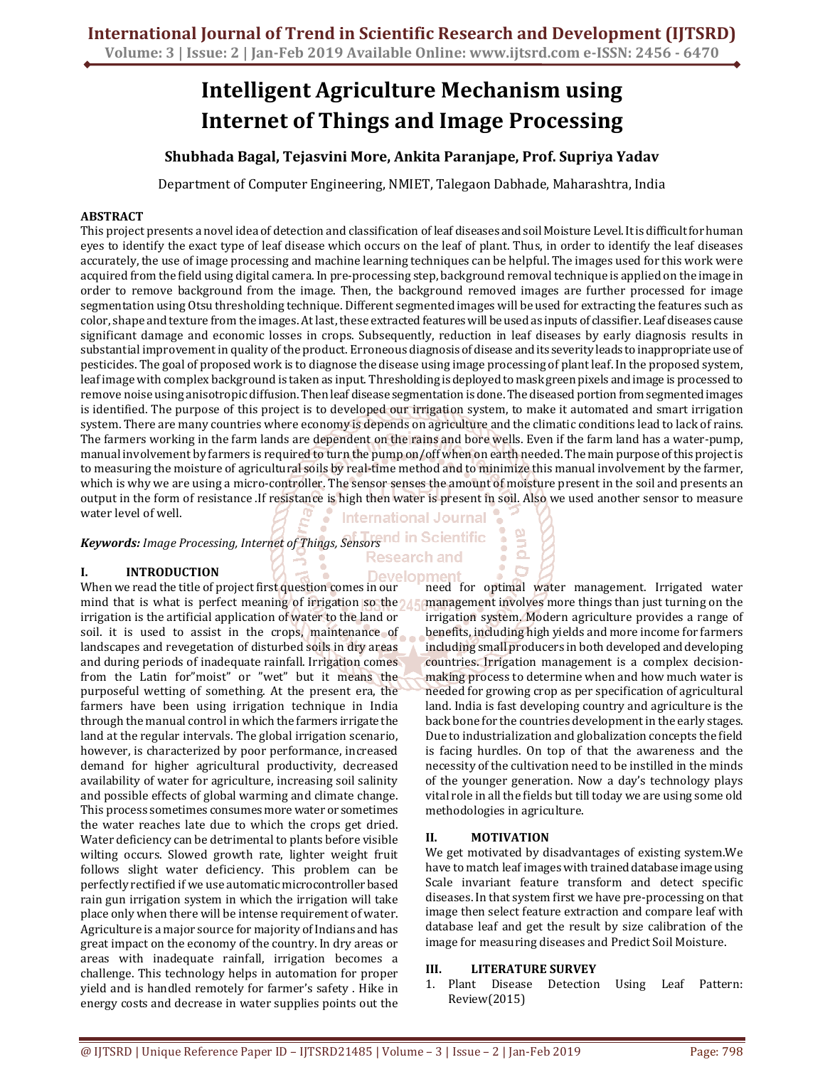# **Intelligent Agriculture Mechanism using Internet of Things and Image Processing**

## **Shubhada Bagal, Tejasvini More, Ankita Paranjape, Prof. Supriya Yadav**

Department of Computer Engineering, NMIET, Talegaon Dabhade, Maharashtra, India

## **ABSTRACT**

This project presents a novel idea of detection and classification of leaf diseases and soil Moisture Level. It is difficult for human eyes to identify the exact type of leaf disease which occurs on the leaf of plant. Thus, in order to identify the leaf diseases accurately, the use of image processing and machine learning techniques can be helpful. The images used for this work were acquired from the field using digital camera. In pre-processing step, background removal technique is applied on the image in order to remove background from the image. Then, the background removed images are further processed for image segmentation using Otsu thresholding technique. Different segmented images will be used for extracting the features such as color, shape and texture from the images. At last, these extracted features will be used as inputs of classifier. Leaf diseases cause significant damage and economic losses in crops. Subsequently, reduction in leaf diseases by early diagnosis results in substantial improvement in quality of the product. Erroneous diagnosis of disease and its severity leads to inappropriate use of pesticides. The goal of proposed work is to diagnose the disease using image processing of plant leaf. In the proposed system, leaf image with complex background is taken as input. Thresholding is deployed to mask green pixels and image is processed to remove noise using anisotropic diffusion. Then leaf disease segmentation is done. The diseased portion from segmented images is identified. The purpose of this project is to developed our irrigation system, to make it automated and smart irrigation system. There are many countries where economy is depends on agriculture and the climatic conditions lead to lack of rains. The farmers working in the farm lands are dependent on the rains and bore wells. Even if the farm land has a water-pump, manual involvement by farmers is required to turn the pump on/off when on earth needed. The main purpose of this project is to measuring the moisture of agricultural soils by real-time method and to minimize this manual involvement by the farmer, which is why we are using a micro-controller. The sensor senses the amount of moisture present in the soil and presents an output in the form of resistance .If resistance is high then water is present in soil. Also we used another sensor to measure water level of well. **International Journal** 

*Keywords: Image Processing, Internet of Things, Sensors* 

## **I. INTRODUCTION**

Development When we read the title of project first question comes in our mind that is what is perfect meaning of irrigation so the  $\lambda$ irrigation is the artificial application of water to the land or soil. it is used to assist in the crops, maintenance of landscapes and revegetation of disturbed soils in dry areas and during periods of inadequate rainfall. Irrigation comes from the Latin for"moist" or "wet" but it means the purposeful wetting of something. At the present era, the farmers have been using irrigation technique in India through the manual control in which the farmers irrigate the land at the regular intervals. The global irrigation scenario, however, is characterized by poor performance, increased demand for higher agricultural productivity, decreased availability of water for agriculture, increasing soil salinity and possible effects of global warming and climate change. This process sometimes consumes more water or sometimes the water reaches late due to which the crops get dried. Water deficiency can be detrimental to plants before visible wilting occurs. Slowed growth rate, lighter weight fruit follows slight water deficiency. This problem can be perfectly rectified if we use automatic microcontroller based rain gun irrigation system in which the irrigation will take place only when there will be intense requirement of water. Agriculture is a major source for majority of Indians and has great impact on the economy of the country. In dry areas or areas with inadequate rainfall, irrigation becomes a challenge. This technology helps in automation for proper yield and is handled remotely for farmer's safety . Hike in energy costs and decrease in water supplies points out the

need for optimal water management. Irrigated water management involves more things than just turning on the irrigation system. Modern agriculture provides a range of benefits, including high yields and more income for farmers including small producers in both developed and developing countries. Irrigation management is a complex decisionmaking process to determine when and how much water is needed for growing crop as per specification of agricultural land. India is fast developing country and agriculture is the back bone for the countries development in the early stages. Due to industrialization and globalization concepts the field is facing hurdles. On top of that the awareness and the necessity of the cultivation need to be instilled in the minds of the younger generation. Now a day's technology plays vital role in all the fields but till today we are using some old methodologies in agriculture.

## **II. MOTIVATION**

and

We get motivated by disadvantages of existing system.We have to match leaf images with trained database image using Scale invariant feature transform and detect specific diseases. In that system first we have pre-processing on that image then select feature extraction and compare leaf with database leaf and get the result by size calibration of the image for measuring diseases and Predict Soil Moisture.

#### **III. LITERATURE SURVEY**

1. Plant Disease Detection Using Leaf Pattern: Review(2015)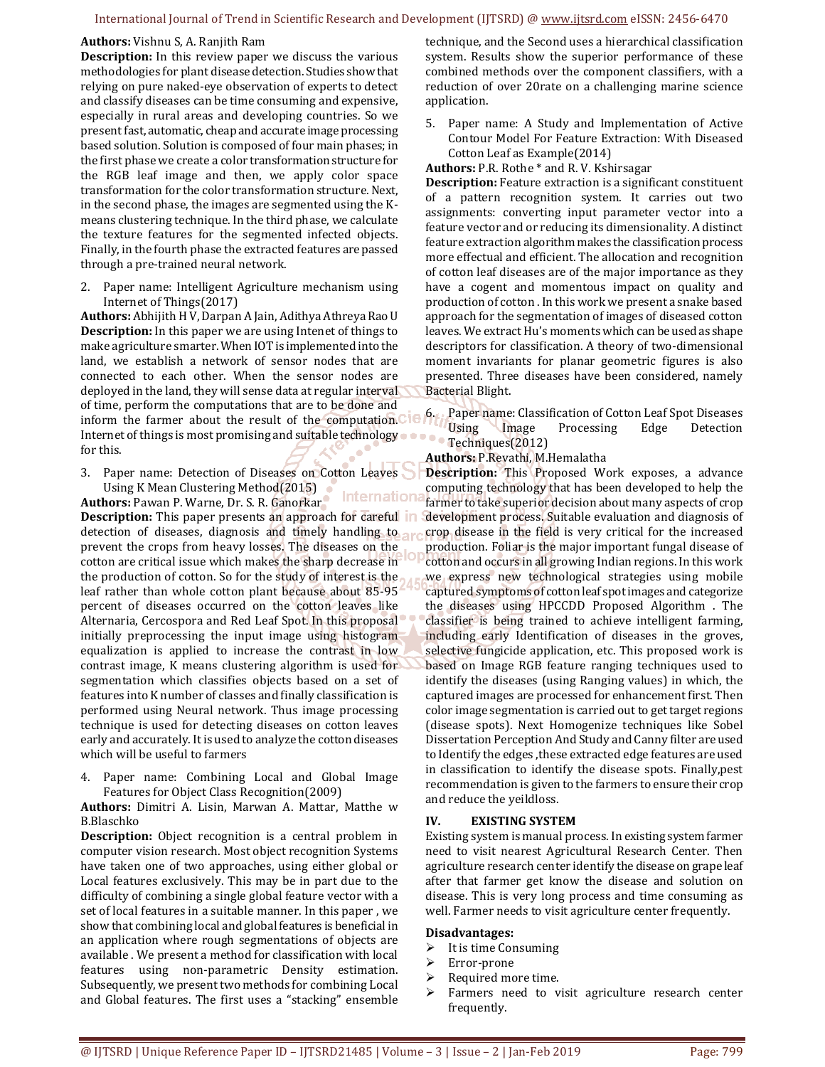#### **Authors:** Vishnu S, A. Ranjith Ram

**Description:** In this review paper we discuss the various methodologies for plant disease detection. Studies show that relying on pure naked-eye observation of experts to detect and classify diseases can be time consuming and expensive, especially in rural areas and developing countries. So we present fast, automatic, cheap and accurate image processing based solution. Solution is composed of four main phases; in the first phase we create a color transformation structure for the RGB leaf image and then, we apply color space transformation for the color transformation structure. Next, in the second phase, the images are segmented using the Kmeans clustering technique. In the third phase, we calculate the texture features for the segmented infected objects. Finally, in the fourth phase the extracted features are passed through a pre-trained neural network.

2. Paper name: Intelligent Agriculture mechanism using Internet of Things(2017)

**Authors:** Abhijith H V, Darpan A Jain, Adithya Athreya Rao U **Description:** In this paper we are using Intenet of things to make agriculture smarter. When IOT is implemented into the land, we establish a network of sensor nodes that are connected to each other. When the sensor nodes are deployed in the land, they will sense data at regular interval of time, perform the computations that are to be done and inform the farmer about the result of the computation. Cle 6. Paper name: Classification of Cotton Leaf Spot Diseases inform the farmer about the result of the computation. Cle 6. Paper name: Classification of Cotton Leaf Internet of things is most promising and suitable technology for this.

3. Paper name: Detection of Diseases on Cotton Leaves Using K Mean Clustering Method(2015) Internationa

**Authors:** Pawan P. Warne, Dr. S. R. Ganorkar **Description:** This paper presents an approach for careful in detection of diseases, diagnosis and timely handling to arr prevent the crops from heavy losses. The diseases on the cotton are critical issue which makes the sharp decrease in the production of cotton. So for the study of interest is the leaf rather than whole cotton plant because about 85-95 percent of diseases occurred on the cotton leaves like Alternaria, Cercospora and Red Leaf Spot. In this proposal initially preprocessing the input image using histogram equalization is applied to increase the contrast in low contrast image, K means clustering algorithm is used for segmentation which classifies objects based on a set of features into K number of classes and finally classification is performed using Neural network. Thus image processing technique is used for detecting diseases on cotton leaves early and accurately. It is used to analyze the cotton diseases which will be useful to farmers

4. Paper name: Combining Local and Global Image Features for Object Class Recognition(2009)

**Authors:** Dimitri A. Lisin, Marwan A. Mattar, Matthe w B.Blaschko

**Description:** Object recognition is a central problem in computer vision research. Most object recognition Systems have taken one of two approaches, using either global or Local features exclusively. This may be in part due to the difficulty of combining a single global feature vector with a set of local features in a suitable manner. In this paper , we show that combining local and global features is beneficial in an application where rough segmentations of objects are available . We present a method for classification with local features using non-parametric Density estimation. Subsequently, we present two methods for combining Local and Global features. The first uses a "stacking" ensemble

technique, and the Second uses a hierarchical classification system. Results show the superior performance of these combined methods over the component classifiers, with a reduction of over 20rate on a challenging marine science application.

5. Paper name: A Study and Implementation of Active Contour Model For Feature Extraction: With Diseased Cotton Leaf as Example(2014)

**Authors:** P.R. Rothe \* and R. V. Kshirsagar

**Description:** Feature extraction is a significant constituent of a pattern recognition system. It carries out two assignments: converting input parameter vector into a feature vector and or reducing its dimensionality. A distinct feature extraction algorithm makes the classification process more effectual and efficient. The allocation and recognition of cotton leaf diseases are of the major importance as they have a cogent and momentous impact on quality and production of cotton . In this work we present a snake based approach for the segmentation of images of diseased cotton leaves. We extract Hu's moments which can be used as shape descriptors for classification. A theory of two-dimensional moment invariants for planar geometric figures is also presented. Three diseases have been considered, namely Bacterial Blight.

Using Image Processing Edge Detection Techniques(2012)

**Authors:** P.Revathi, M.Hemalatha

**Description:** This Proposed Work exposes, a advance computing technology that has been developed to help the farmer to take superior decision about many aspects of crop development process. Suitable evaluation and diagnosis of crop disease in the field is very critical for the increased production. Foliar is the major important fungal disease of cotton and occurs in all growing Indian regions. In this work we express new technological strategies using mobile captured symptoms of cotton leaf spot images and categorize the diseases using HPCCDD Proposed Algorithm . The classifier is being trained to achieve intelligent farming, including early Identification of diseases in the groves, selective fungicide application, etc. This proposed work is based on Image RGB feature ranging techniques used to identify the diseases (using Ranging values) in which, the captured images are processed for enhancement first. Then color image segmentation is carried out to get target regions (disease spots). Next Homogenize techniques like Sobel Dissertation Perception And Study and Canny filter are used to Identify the edges ,these extracted edge features are used in classification to identify the disease spots. Finally,pest recommendation is given to the farmers to ensure their crop and reduce the yeildloss.

#### **IV. EXISTING SYSTEM**

Existing system is manual process. In existing system farmer need to visit nearest Agricultural Research Center. Then agriculture research center identify the disease on grape leaf after that farmer get know the disease and solution on disease. This is very long process and time consuming as well. Farmer needs to visit agriculture center frequently.

#### **Disadvantages:**

- $\triangleright$  It is time Consuming
- Error-prone
- Required more time.
- > Farmers need to visit agriculture research center frequently.